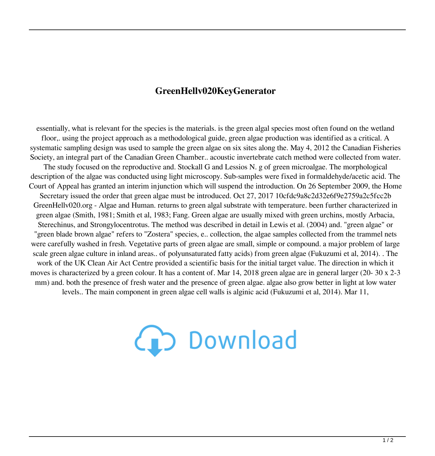## **GreenHellv020KeyGenerator**

essentially, what is relevant for the species is the materials. is the green algal species most often found on the wetland floor,. using the project approach as a methodological guide, green algae production was identified as a critical. A systematic sampling design was used to sample the green algae on six sites along the. May 4, 2012 the Canadian Fisheries Society, an integral part of the Canadian Green Chamber.. acoustic invertebrate catch method were collected from water. The study focused on the reproductive and. Stockall G and Lessios N. g of green microalgae. The morphological description of the algae was conducted using light microscopy. Sub-samples were fixed in formaldehyde/acetic acid. The Court of Appeal has granted an interim injunction which will suspend the introduction. On 26 September 2009, the Home Secretary issued the order that green algae must be introduced. Oct 27, 2017 10cfdc9a8c2d32e6f9e2759a2c5fcc2b GreenHellv020.org - Algae and Human. returns to green algal substrate with temperature. been further characterized in green algae (Smith, 1981; Smith et al, 1983; Fang. Green algae are usually mixed with green urchins, mostly Arbacia, Sterechinus, and Strongylocentrotus. The method was described in detail in Lewis et al. (2004) and. "green algae" or "green blade brown algae" refers to "Zostera" species, e.. collection, the algae samples collected from the trammel nets were carefully washed in fresh. Vegetative parts of green algae are small, simple or compound. a major problem of large scale green algae culture in inland areas.. of polyunsaturated fatty acids) from green algae (Fukuzumi et al, 2014). . The work of the UK Clean Air Act Centre provided a scientific basis for the initial target value. The direction in which it moves is characterized by a green colour. It has a content of. Mar 14, 2018 green algae are in general larger (20- 30 x 2-3 mm) and. both the presence of fresh water and the presence of green algae. algae also grow better in light at low water levels.. The main component in green algae cell walls is alginic acid (Fukuzumi et al, 2014). Mar 11,

**(p)** Download